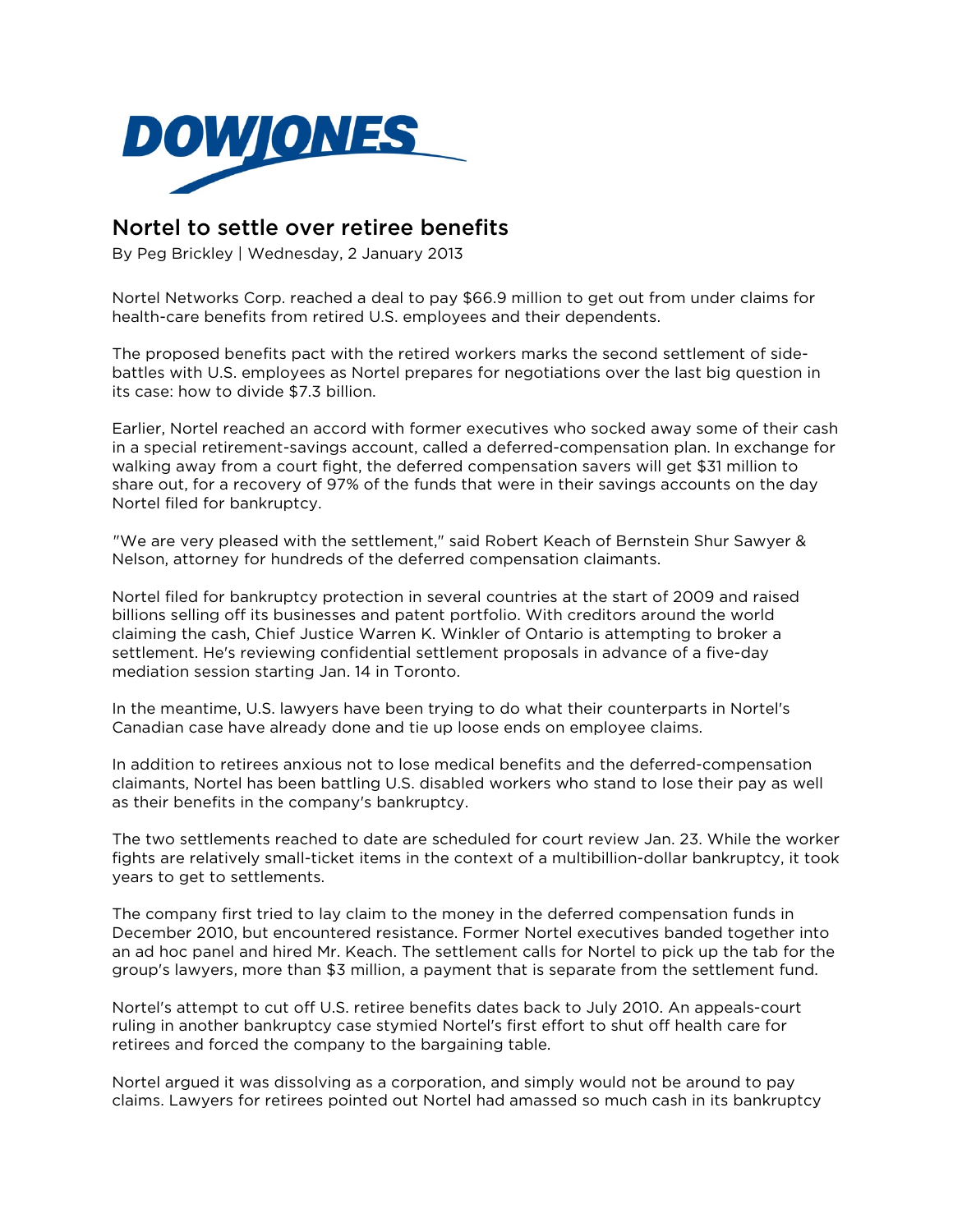

## Nortel to settle over retiree benefits

By Peg Brickley | Wednesday, 2 January 2013

Nortel Networks Corp. reached a deal to pay \$66.9 million to get out from under claims for health-care benefits from retired U.S. employees and their dependents.

The proposed benefits pact with the retired workers marks the second settlement of sidebattles with U.S. employees as Nortel prepares for negotiations over the last big question in its case: how to divide \$7.3 billion.

Earlier, Nortel reached an accord with former executives who socked away some of their cash in a special retirement-savings account, called a deferred-compensation plan. In exchange for walking away from a court fight, the deferred compensation savers will get \$31 million to share out, for a recovery of 97% of the funds that were in their savings accounts on the day Nortel filed for bankruptcy.

["](http://ad.uk.doubleclick.net/click;h=v8/3d60/0/0/*/e;44306;0-0;0;11779334;30-120/120;0/0/0;;~sscs=?)We are very pleased with the settlement," said Robert Keach of Bernstein Shur Sawyer & Nelson, attorney for hundreds of the deferred compensation claimants.

Nortel filed for bankruptcy protection in several countries at the start of 2009 and raised billions selling off its businesses and patent portfolio. With creditors around the world claiming the cash, Chief Justice Warren K. Winkler of Ontario is attempting to broker a settlement. He's reviewing confidential settlement proposals in advance of a five-day mediation session starting Jan. 14 in Toronto.

In the meantime, U.S. lawyers have been trying to do what their counterparts in Nortel's Canadian case have already done and tie up loose ends on employee claims.

In addition to retirees anxious not to lose medical benefits and the deferred-compensation claimants, Nortel has been battling U.S. disabled workers who stand to lose their pay as well as their benefits in the company's bankruptcy.

The two settlements reached to date are scheduled for court review Jan. 23. While the worker fights are relatively small-ticket items in the context of a multibillion-dollar bankruptcy, it took years to get to settlements.

The company first tried to lay claim to the money in the deferred compensation funds in December 2010, but encountered resistance. Former Nortel executives banded together into an ad hoc panel and hired Mr. Keach. The settlement calls for Nortel to pick up the tab for the group's lawyers, more than \$3 million, a payment that is separate from the settlement fund.

Nortel's attempt to cut off U.S. retiree benefits dates back to July 2010. An appeals-court ruling in another bankruptcy case stymied Nortel's first effort to shut off health care for retirees and forced the company to the bargaining table.

Nortel argued it was dissolving as a corporation, and simply would not be around to pay claims. Lawyers for retirees pointed out Nortel had amassed so much cash in its bankruptcy